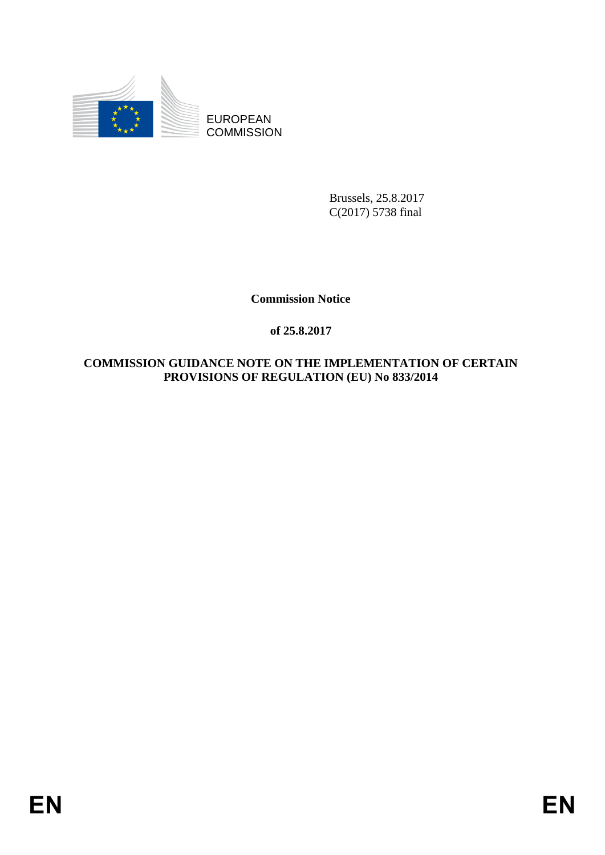

EUROPEAN **COMMISSION** 

> Brussels, 25.8.2017 C(2017) 5738 final

**Commission Notice**

# **of 25.8.2017**

# **COMMISSION GUIDANCE NOTE ON THE IMPLEMENTATION OF CERTAIN PROVISIONS OF REGULATION (EU) No 833/2014**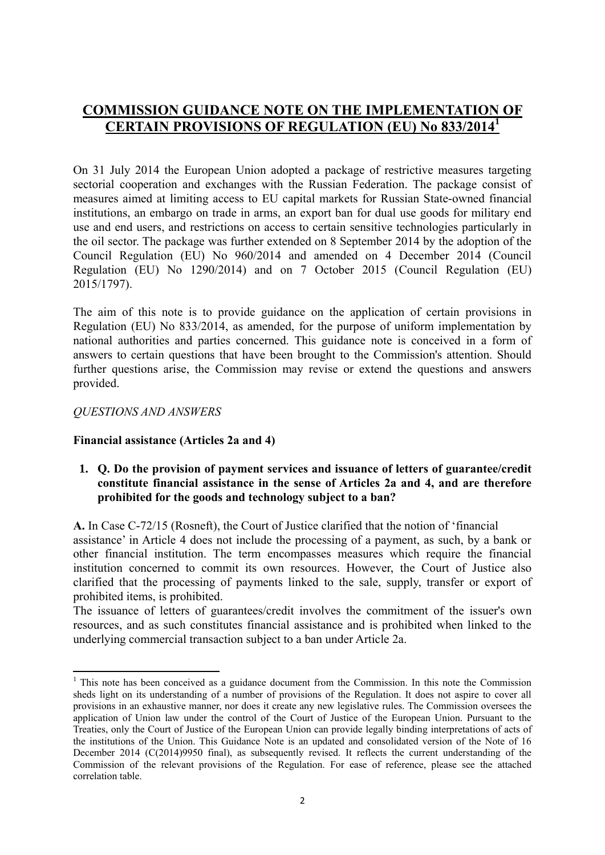# **COMMISSION GUIDANCE NOTE ON THE IMPLEMENTATION OF CERTAIN PROVISIONS OF REGULATION (EU) No 833/2014<sup>1</sup>**

On 31 July 2014 the European Union adopted a package of restrictive measures targeting sectorial cooperation and exchanges with the Russian Federation. The package consist of measures aimed at limiting access to EU capital markets for Russian State-owned financial institutions, an embargo on trade in arms, an export ban for dual use goods for military end use and end users, and restrictions on access to certain sensitive technologies particularly in the oil sector. The package was further extended on 8 September 2014 by the adoption of the Council Regulation (EU) No 960/2014 and amended on 4 December 2014 (Council Regulation (EU) No 1290/2014) and on 7 October 2015 (Council Regulation (EU) 2015/1797).

The aim of this note is to provide guidance on the application of certain provisions in Regulation (EU) No 833/2014, as amended, for the purpose of uniform implementation by national authorities and parties concerned. This guidance note is conceived in a form of answers to certain questions that have been brought to the Commission's attention. Should further questions arise, the Commission may revise or extend the questions and answers provided.

#### *QUESTIONS AND ANSWERS*

**.** 

### **Financial assistance (Articles 2a and 4)**

#### **1. Q. Do the provision of payment services and issuance of letters of guarantee/credit constitute financial assistance in the sense of Articles 2a and 4, and are therefore prohibited for the goods and technology subject to a ban?**

**A.** In Case C-72/15 (Rosneft), the Court of Justice clarified that the notion of 'financial assistance' in Article 4 does not include the processing of a payment, as such, by a bank or other financial institution. The term encompasses measures which require the financial institution concerned to commit its own resources. However, the Court of Justice also clarified that the processing of payments linked to the sale, supply, transfer or export of prohibited items, is prohibited.

The issuance of letters of guarantees/credit involves the commitment of the issuer's own resources, and as such constitutes financial assistance and is prohibited when linked to the underlying commercial transaction subject to a ban under Article 2a.

<sup>&</sup>lt;sup>1</sup> This note has been conceived as a guidance document from the Commission. In this note the Commission sheds light on its understanding of a number of provisions of the Regulation. It does not aspire to cover all provisions in an exhaustive manner, nor does it create any new legislative rules. The Commission oversees the application of Union law under the control of the Court of Justice of the European Union. Pursuant to the Treaties, only the Court of Justice of the European Union can provide legally binding interpretations of acts of the institutions of the Union. This Guidance Note is an updated and consolidated version of the Note of 16 December 2014 (C(2014)9950 final), as subsequently revised. It reflects the current understanding of the Commission of the relevant provisions of the Regulation. For ease of reference, please see the attached correlation table.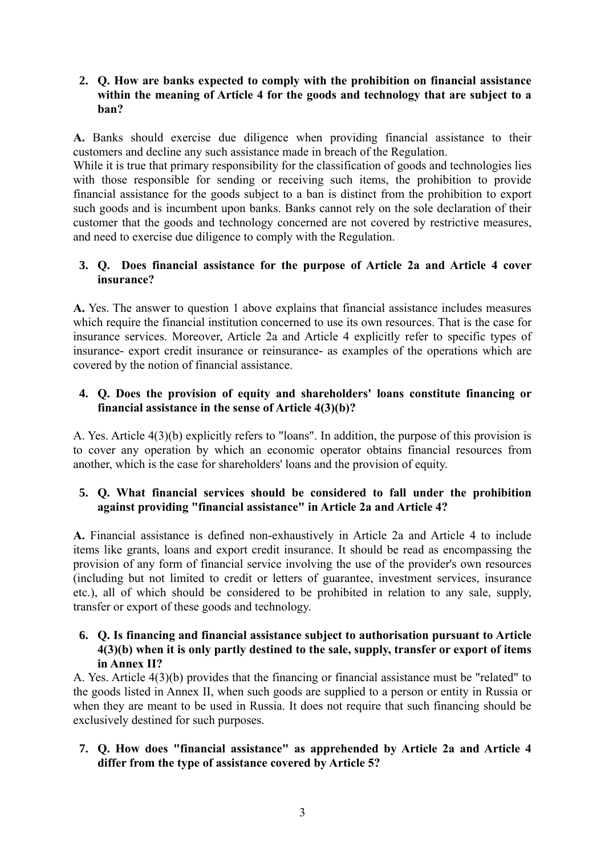### **2. Q. How are banks expected to comply with the prohibition on financial assistance within the meaning of Article 4 for the goods and technology that are subject to a ban?**

**A.** Banks should exercise due diligence when providing financial assistance to their customers and decline any such assistance made in breach of the Regulation.

While it is true that primary responsibility for the classification of goods and technologies lies with those responsible for sending or receiving such items, the prohibition to provide financial assistance for the goods subject to a ban is distinct from the prohibition to export such goods and is incumbent upon banks. Banks cannot rely on the sole declaration of their customer that the goods and technology concerned are not covered by restrictive measures, and need to exercise due diligence to comply with the Regulation.

#### **3. Q. Does financial assistance for the purpose of Article 2a and Article 4 cover insurance?**

**A.** Yes. The answer to question 1 above explains that financial assistance includes measures which require the financial institution concerned to use its own resources. That is the case for insurance services. Moreover, Article 2a and Article 4 explicitly refer to specific types of insurance- export credit insurance or reinsurance- as examples of the operations which are covered by the notion of financial assistance.

### **4. Q. Does the provision of equity and shareholders' loans constitute financing or financial assistance in the sense of Article 4(3)(b)?**

A. Yes. Article 4(3)(b) explicitly refers to "loans". In addition, the purpose of this provision is to cover any operation by which an economic operator obtains financial resources from another, which is the case for shareholders' loans and the provision of equity.

### **5. Q. What financial services should be considered to fall under the prohibition against providing "financial assistance" in Article 2a and Article 4?**

**A.** Financial assistance is defined non-exhaustively in Article 2a and Article 4 to include items like grants, loans and export credit insurance. It should be read as encompassing the provision of any form of financial service involving the use of the provider's own resources (including but not limited to credit or letters of guarantee, investment services, insurance etc.), all of which should be considered to be prohibited in relation to any sale, supply, transfer or export of these goods and technology.

### **6. Q. Is financing and financial assistance subject to authorisation pursuant to Article 4(3)(b) when it is only partly destined to the sale, supply, transfer or export of items in Annex II?**

A. Yes. Article 4(3)(b) provides that the financing or financial assistance must be "related" to the goods listed in Annex II, when such goods are supplied to a person or entity in Russia or when they are meant to be used in Russia. It does not require that such financing should be exclusively destined for such purposes.

### **7. Q. How does "financial assistance" as apprehended by Article 2a and Article 4 differ from the type of assistance covered by Article 5?**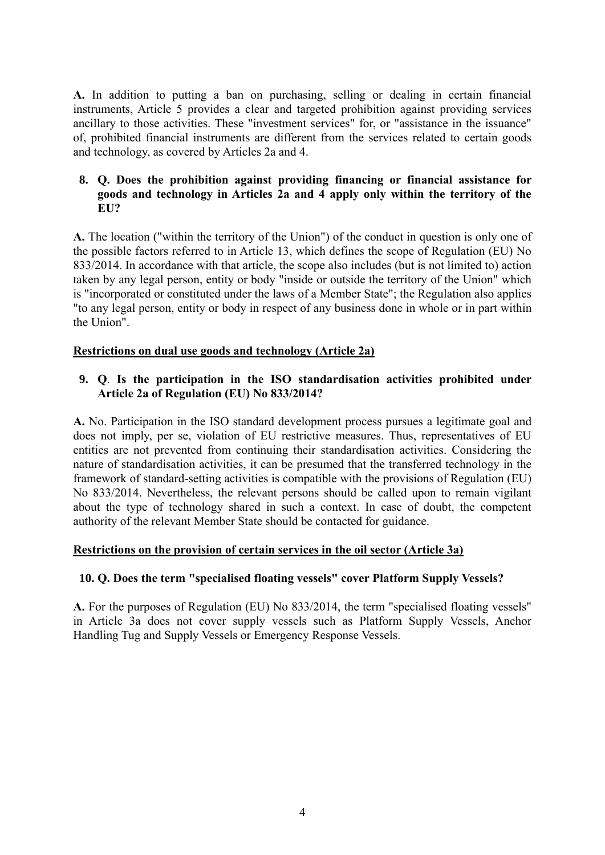**A.** In addition to putting a ban on purchasing, selling or dealing in certain financial instruments, Article 5 provides a clear and targeted prohibition against providing services ancillary to those activities. These "investment services" for, or "assistance in the issuance" of, prohibited financial instruments are different from the services related to certain goods and technology, as covered by Articles 2a and 4.

### **8. Q. Does the prohibition against providing financing or financial assistance for goods and technology in Articles 2a and 4 apply only within the territory of the EU?**

**A.** The location ("within the territory of the Union") of the conduct in question is only one of the possible factors referred to in Article 13, which defines the scope of Regulation (EU) No 833/2014. In accordance with that article, the scope also includes (but is not limited to) action taken by any legal person, entity or body "inside or outside the territory of the Union" which is "incorporated or constituted under the laws of a Member State"; the Regulation also applies "to any legal person, entity or body in respect of any business done in whole or in part within the Union".

#### **Restrictions on dual use goods and technology (Article 2a)**

# **9. Q**. **Is the participation in the ISO standardisation activities prohibited under Article 2a of Regulation (EU) No 833/2014?**

**A.** No. Participation in the ISO standard development process pursues a legitimate goal and does not imply, per se, violation of EU restrictive measures. Thus, representatives of EU entities are not prevented from continuing their standardisation activities. Considering the nature of standardisation activities, it can be presumed that the transferred technology in the framework of standard-setting activities is compatible with the provisions of Regulation (EU) No 833/2014. Nevertheless, the relevant persons should be called upon to remain vigilant about the type of technology shared in such a context. In case of doubt, the competent authority of the relevant Member State should be contacted for guidance.

#### **Restrictions on the provision of certain services in the oil sector (Article 3a)**

#### **10. Q. Does the term "specialised floating vessels" cover Platform Supply Vessels?**

**A.** For the purposes of Regulation (EU) No 833/2014, the term "specialised floating vessels" in Article 3a does not cover supply vessels such as Platform Supply Vessels, Anchor Handling Tug and Supply Vessels or Emergency Response Vessels.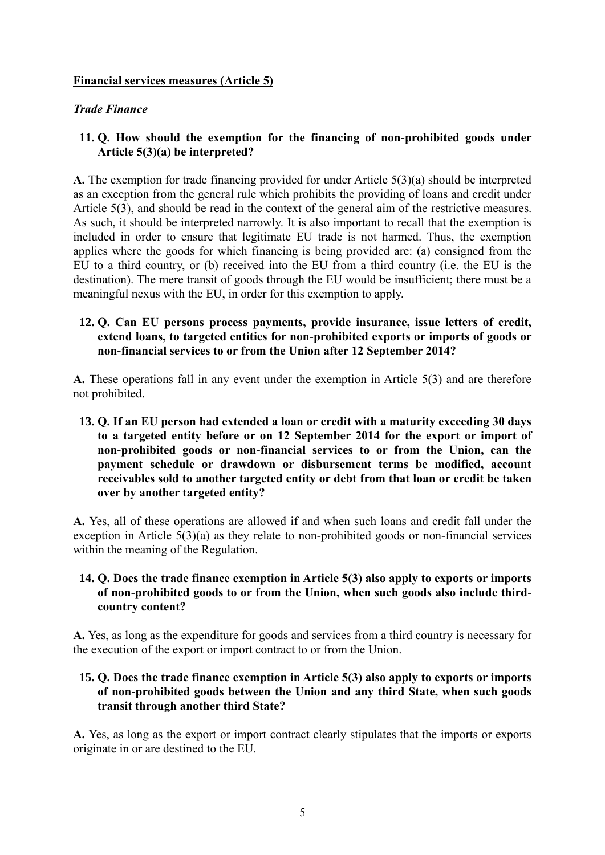#### **Financial services measures (Article 5)**

#### *Trade Finance*

### **11. Q. How should the exemption for the financing of non-prohibited goods under Article 5(3)(a) be interpreted?**

**A.** The exemption for trade financing provided for under Article 5(3)(a) should be interpreted as an exception from the general rule which prohibits the providing of loans and credit under Article 5(3), and should be read in the context of the general aim of the restrictive measures. As such, it should be interpreted narrowly. It is also important to recall that the exemption is included in order to ensure that legitimate EU trade is not harmed. Thus, the exemption applies where the goods for which financing is being provided are: (a) consigned from the EU to a third country, or (b) received into the EU from a third country (i.e. the EU is the destination). The mere transit of goods through the EU would be insufficient; there must be a meaningful nexus with the EU, in order for this exemption to apply.

### **12. Q. Can EU persons process payments, provide insurance, issue letters of credit, extend loans, to targeted entities for non-prohibited exports or imports of goods or non-financial services to or from the Union after 12 September 2014?**

**A.** These operations fall in any event under the exemption in Article 5(3) and are therefore not prohibited.

### **13. Q. If an EU person had extended a loan or credit with a maturity exceeding 30 days to a targeted entity before or on 12 September 2014 for the export or import of non-prohibited goods or non-financial services to or from the Union, can the payment schedule or drawdown or disbursement terms be modified, account receivables sold to another targeted entity or debt from that loan or credit be taken over by another targeted entity?**

**A.** Yes, all of these operations are allowed if and when such loans and credit fall under the exception in Article 5(3)(a) as they relate to non-prohibited goods or non-financial services within the meaning of the Regulation.

### **14. Q. Does the trade finance exemption in Article 5(3) also apply to exports or imports of non-prohibited goods to or from the Union, when such goods also include thirdcountry content?**

**A.** Yes, as long as the expenditure for goods and services from a third country is necessary for the execution of the export or import contract to or from the Union.

### **15. Q. Does the trade finance exemption in Article 5(3) also apply to exports or imports of non-prohibited goods between the Union and any third State, when such goods transit through another third State?**

**A.** Yes, as long as the export or import contract clearly stipulates that the imports or exports originate in or are destined to the EU.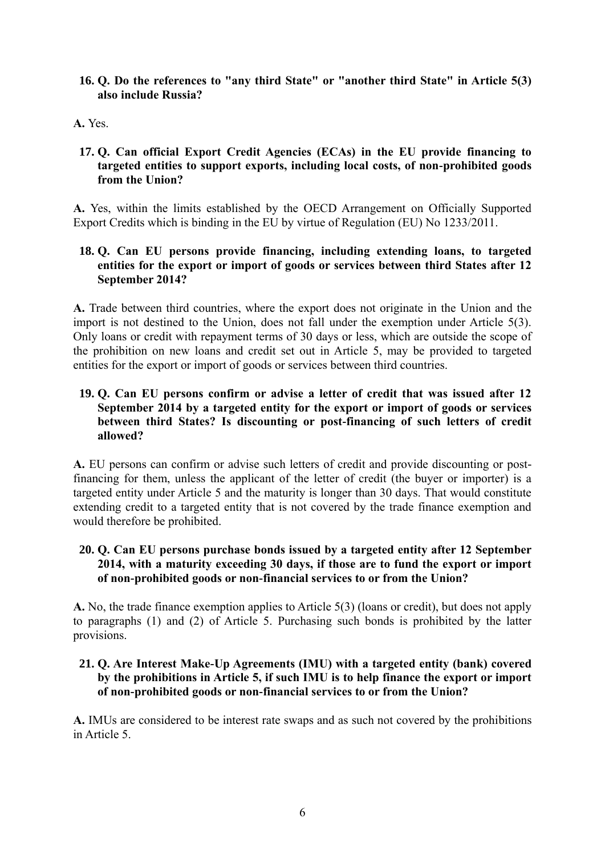**16. Q. Do the references to "any third State" or "another third State" in Article 5(3) also include Russia?** 

# **A.** Yes.

# **17. Q. Can official Export Credit Agencies (ECAs) in the EU provide financing to targeted entities to support exports, including local costs, of non-prohibited goods from the Union?**

**A.** Yes, within the limits established by the OECD Arrangement on Officially Supported Export Credits which is binding in the EU by virtue of Regulation (EU) No 1233/2011.

### **18. Q. Can EU persons provide financing, including extending loans, to targeted entities for the export or import of goods or services between third States after 12 September 2014?**

**A.** Trade between third countries, where the export does not originate in the Union and the import is not destined to the Union, does not fall under the exemption under Article 5(3). Only loans or credit with repayment terms of 30 days or less, which are outside the scope of the prohibition on new loans and credit set out in Article 5, may be provided to targeted entities for the export or import of goods or services between third countries.

## **19. Q. Can EU persons confirm or advise a letter of credit that was issued after 12 September 2014 by a targeted entity for the export or import of goods or services between third States? Is discounting or post-financing of such letters of credit allowed?**

**A.** EU persons can confirm or advise such letters of credit and provide discounting or postfinancing for them, unless the applicant of the letter of credit (the buyer or importer) is a targeted entity under Article 5 and the maturity is longer than 30 days. That would constitute extending credit to a targeted entity that is not covered by the trade finance exemption and would therefore be prohibited.

### **20. Q. Can EU persons purchase bonds issued by a targeted entity after 12 September 2014, with a maturity exceeding 30 days, if those are to fund the export or import of non-prohibited goods or non-financial services to or from the Union?**

**A.** No, the trade finance exemption applies to Article 5(3) (loans or credit), but does not apply to paragraphs (1) and (2) of Article 5. Purchasing such bonds is prohibited by the latter provisions.

### **21. Q. Are Interest Make-Up Agreements (IMU) with a targeted entity (bank) covered by the prohibitions in Article 5, if such IMU is to help finance the export or import of non-prohibited goods or non-financial services to or from the Union?**

**A.** IMUs are considered to be interest rate swaps and as such not covered by the prohibitions in Article 5.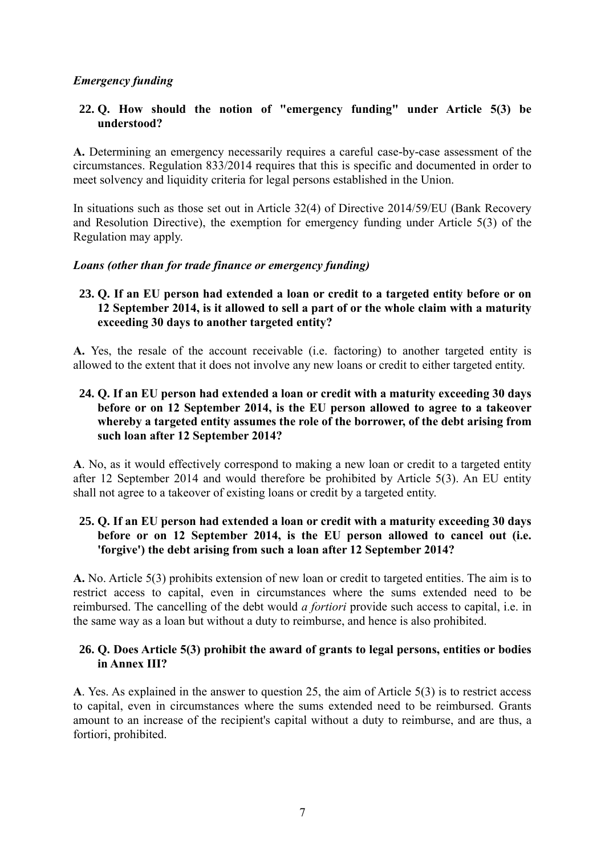# *Emergency funding*

### **22. Q. How should the notion of "emergency funding" under Article 5(3) be understood?**

**A.** Determining an emergency necessarily requires a careful case-by-case assessment of the circumstances. Regulation 833/2014 requires that this is specific and documented in order to meet solvency and liquidity criteria for legal persons established in the Union.

In situations such as those set out in Article 32(4) of Directive 2014/59/EU (Bank Recovery and Resolution Directive), the exemption for emergency funding under Article 5(3) of the Regulation may apply.

#### *Loans (other than for trade finance or emergency funding)*

## **23. Q. If an EU person had extended a loan or credit to a targeted entity before or on 12 September 2014, is it allowed to sell a part of or the whole claim with a maturity exceeding 30 days to another targeted entity?**

**A.** Yes, the resale of the account receivable (i.e. factoring) to another targeted entity is allowed to the extent that it does not involve any new loans or credit to either targeted entity.

### **24. Q. If an EU person had extended a loan or credit with a maturity exceeding 30 days before or on 12 September 2014, is the EU person allowed to agree to a takeover whereby a targeted entity assumes the role of the borrower, of the debt arising from such loan after 12 September 2014?**

**A**. No, as it would effectively correspond to making a new loan or credit to a targeted entity after 12 September 2014 and would therefore be prohibited by Article 5(3). An EU entity shall not agree to a takeover of existing loans or credit by a targeted entity.

### **25. Q. If an EU person had extended a loan or credit with a maturity exceeding 30 days before or on 12 September 2014, is the EU person allowed to cancel out (i.e. 'forgive') the debt arising from such a loan after 12 September 2014?**

**A.** No. Article 5(3) prohibits extension of new loan or credit to targeted entities. The aim is to restrict access to capital, even in circumstances where the sums extended need to be reimbursed. The cancelling of the debt would *a fortiori* provide such access to capital, i.e. in the same way as a loan but without a duty to reimburse, and hence is also prohibited.

### **26. Q. Does Article 5(3) prohibit the award of grants to legal persons, entities or bodies in Annex III?**

**A**. Yes. As explained in the answer to question 25, the aim of Article 5(3) is to restrict access to capital, even in circumstances where the sums extended need to be reimbursed. Grants amount to an increase of the recipient's capital without a duty to reimburse, and are thus, a fortiori, prohibited.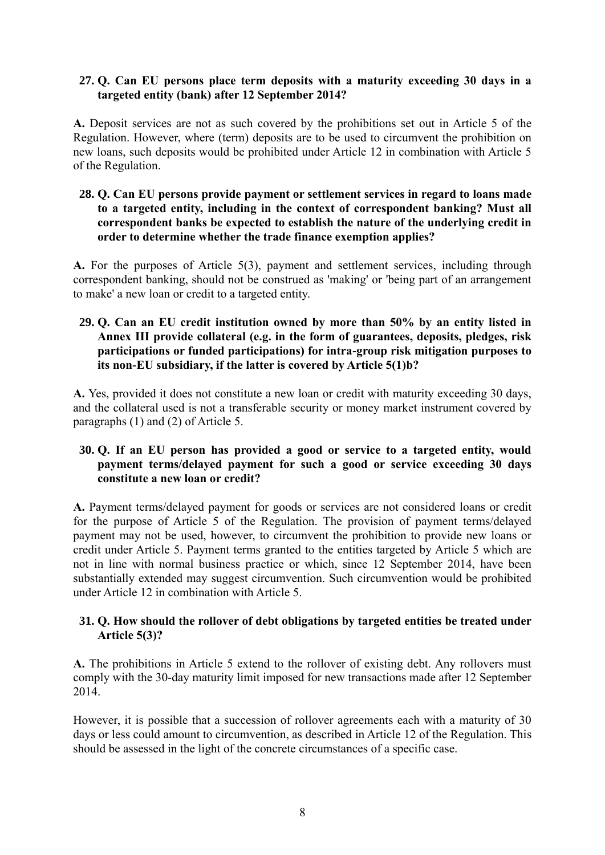### **27. Q. Can EU persons place term deposits with a maturity exceeding 30 days in a targeted entity (bank) after 12 September 2014?**

**A.** Deposit services are not as such covered by the prohibitions set out in Article 5 of the Regulation. However, where (term) deposits are to be used to circumvent the prohibition on new loans, such deposits would be prohibited under Article 12 in combination with Article 5 of the Regulation.

**28. Q. Can EU persons provide payment or settlement services in regard to loans made to a targeted entity, including in the context of correspondent banking? Must all correspondent banks be expected to establish the nature of the underlying credit in order to determine whether the trade finance exemption applies?** 

**A.** For the purposes of Article 5(3), payment and settlement services, including through correspondent banking, should not be construed as 'making' or 'being part of an arrangement to make' a new loan or credit to a targeted entity.

**29. Q. Can an EU credit institution owned by more than 50% by an entity listed in Annex III provide collateral (e.g. in the form of guarantees, deposits, pledges, risk participations or funded participations) for intra-group risk mitigation purposes to its non-EU subsidiary, if the latter is covered by Article 5(1)b?** 

**A.** Yes, provided it does not constitute a new loan or credit with maturity exceeding 30 days, and the collateral used is not a transferable security or money market instrument covered by paragraphs (1) and (2) of Article 5.

# **30. Q. If an EU person has provided a good or service to a targeted entity, would payment terms/delayed payment for such a good or service exceeding 30 days constitute a new loan or credit?**

**A.** Payment terms/delayed payment for goods or services are not considered loans or credit for the purpose of Article 5 of the Regulation. The provision of payment terms/delayed payment may not be used, however, to circumvent the prohibition to provide new loans or credit under Article 5. Payment terms granted to the entities targeted by Article 5 which are not in line with normal business practice or which, since 12 September 2014, have been substantially extended may suggest circumvention. Such circumvention would be prohibited under Article 12 in combination with Article 5.

### **31. Q. How should the rollover of debt obligations by targeted entities be treated under Article 5(3)?**

**A.** The prohibitions in Article 5 extend to the rollover of existing debt. Any rollovers must comply with the 30-day maturity limit imposed for new transactions made after 12 September 2014.

However, it is possible that a succession of rollover agreements each with a maturity of 30 days or less could amount to circumvention, as described in Article 12 of the Regulation. This should be assessed in the light of the concrete circumstances of a specific case.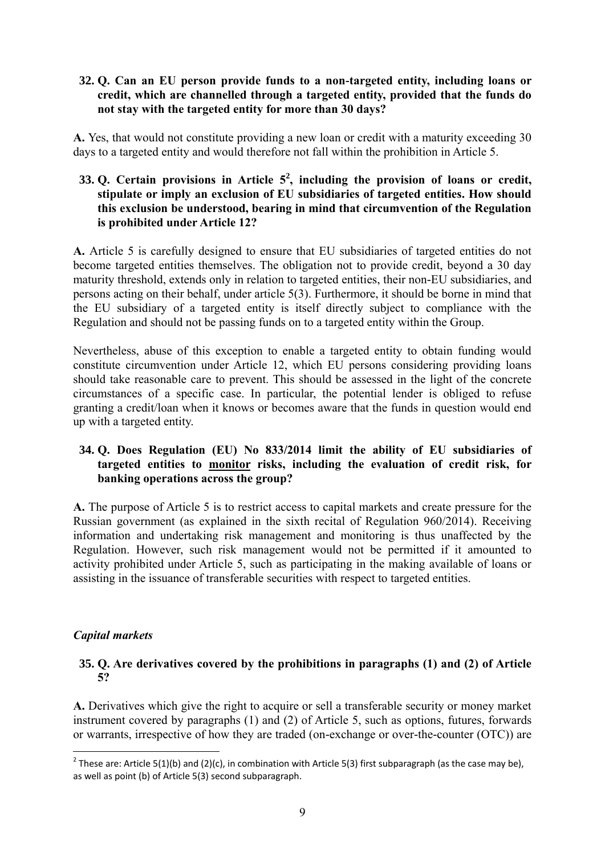#### **32. Q. Can an EU person provide funds to a non-targeted entity, including loans or credit, which are channelled through a targeted entity, provided that the funds do not stay with the targeted entity for more than 30 days?**

**A.** Yes, that would not constitute providing a new loan or credit with a maturity exceeding 30 days to a targeted entity and would therefore not fall within the prohibition in Article 5.

## **33. Q. Certain provisions in Article 5<sup>2</sup> , including the provision of loans or credit, stipulate or imply an exclusion of EU subsidiaries of targeted entities. How should this exclusion be understood, bearing in mind that circumvention of the Regulation is prohibited under Article 12?**

**A.** Article 5 is carefully designed to ensure that EU subsidiaries of targeted entities do not become targeted entities themselves. The obligation not to provide credit, beyond a 30 day maturity threshold, extends only in relation to targeted entities, their non-EU subsidiaries, and persons acting on their behalf, under article 5(3). Furthermore, it should be borne in mind that the EU subsidiary of a targeted entity is itself directly subject to compliance with the Regulation and should not be passing funds on to a targeted entity within the Group.

Nevertheless, abuse of this exception to enable a targeted entity to obtain funding would constitute circumvention under Article 12, which EU persons considering providing loans should take reasonable care to prevent. This should be assessed in the light of the concrete circumstances of a specific case. In particular, the potential lender is obliged to refuse granting a credit/loan when it knows or becomes aware that the funds in question would end up with a targeted entity.

# **34. Q. Does Regulation (EU) No 833/2014 limit the ability of EU subsidiaries of targeted entities to monitor risks, including the evaluation of credit risk, for banking operations across the group?**

**A.** The purpose of Article 5 is to restrict access to capital markets and create pressure for the Russian government (as explained in the sixth recital of Regulation 960/2014). Receiving information and undertaking risk management and monitoring is thus unaffected by the Regulation. However, such risk management would not be permitted if it amounted to activity prohibited under Article 5, such as participating in the making available of loans or assisting in the issuance of transferable securities with respect to targeted entities.

### *Capital markets*

### **35. Q. Are derivatives covered by the prohibitions in paragraphs (1) and (2) of Article 5?**

**A.** Derivatives which give the right to acquire or sell a transferable security or money market instrument covered by paragraphs (1) and (2) of Article 5, such as options, futures, forwards or warrants, irrespective of how they are traded (on-exchange or over-the-counter (OTC)) are

**<sup>.</sup>** <sup>2</sup> These are: Article 5(1)(b) and (2)(c), in combination with Article 5(3) first subparagraph (as the case may be), as well as point (b) of Article 5(3) second subparagraph.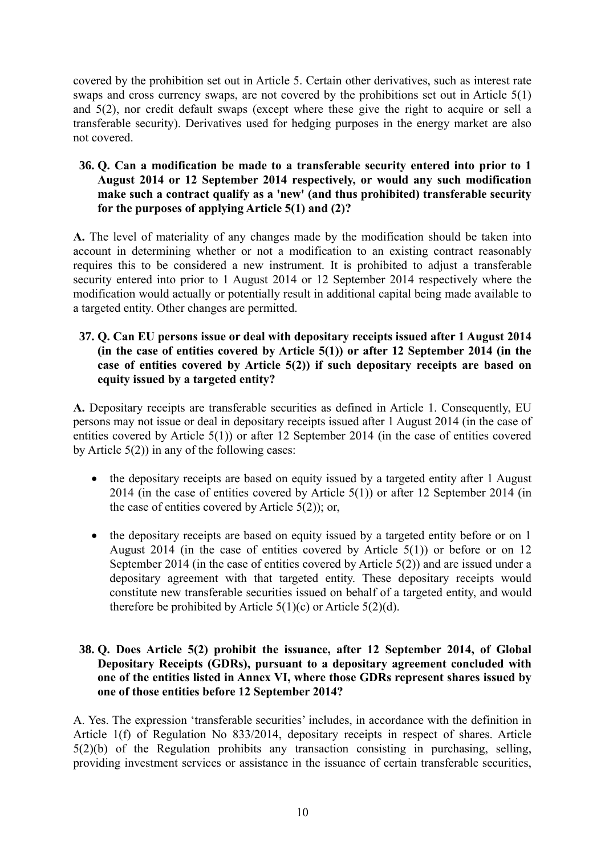covered by the prohibition set out in Article 5. Certain other derivatives, such as interest rate swaps and cross currency swaps, are not covered by the prohibitions set out in Article 5(1) and 5(2), nor credit default swaps (except where these give the right to acquire or sell a transferable security). Derivatives used for hedging purposes in the energy market are also not covered.

### **36. Q. Can a modification be made to a transferable security entered into prior to 1 August 2014 or 12 September 2014 respectively, or would any such modification make such a contract qualify as a 'new' (and thus prohibited) transferable security for the purposes of applying Article 5(1) and (2)?**

**A.** The level of materiality of any changes made by the modification should be taken into account in determining whether or not a modification to an existing contract reasonably requires this to be considered a new instrument. It is prohibited to adjust a transferable security entered into prior to 1 August 2014 or 12 September 2014 respectively where the modification would actually or potentially result in additional capital being made available to a targeted entity. Other changes are permitted.

### **37. Q. Can EU persons issue or deal with depositary receipts issued after 1 August 2014 (in the case of entities covered by Article 5(1)) or after 12 September 2014 (in the case of entities covered by Article 5(2)) if such depositary receipts are based on equity issued by a targeted entity?**

**A.** Depositary receipts are transferable securities as defined in Article 1. Consequently, EU persons may not issue or deal in depositary receipts issued after 1 August 2014 (in the case of entities covered by Article 5(1)) or after 12 September 2014 (in the case of entities covered by Article  $5(2)$ ) in any of the following cases:

- the depositary receipts are based on equity issued by a targeted entity after 1 August 2014 (in the case of entities covered by Article 5(1)) or after 12 September 2014 (in the case of entities covered by Article 5(2)); or,
- the depositary receipts are based on equity issued by a targeted entity before or on 1 August 2014 (in the case of entities covered by Article  $5(1)$ ) or before or on 12 September 2014 (in the case of entities covered by Article 5(2)) and are issued under a depositary agreement with that targeted entity. These depositary receipts would constitute new transferable securities issued on behalf of a targeted entity, and would therefore be prohibited by Article  $5(1)(c)$  or Article  $5(2)(d)$ .

### **38. Q. Does Article 5(2) prohibit the issuance, after 12 September 2014, of Global Depositary Receipts (GDRs), pursuant to a depositary agreement concluded with one of the entities listed in Annex VI, where those GDRs represent shares issued by one of those entities before 12 September 2014?**

A. Yes. The expression 'transferable securities' includes, in accordance with the definition in Article 1(f) of Regulation No 833/2014, depositary receipts in respect of shares. Article 5(2)(b) of the Regulation prohibits any transaction consisting in purchasing, selling, providing investment services or assistance in the issuance of certain transferable securities,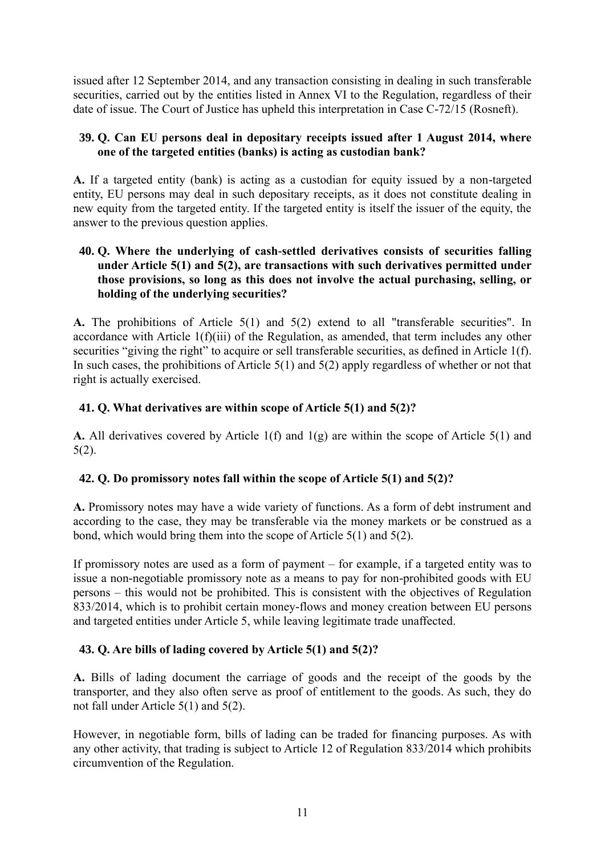issued after 12 September 2014, and any transaction consisting in dealing in such transferable securities, carried out by the entities listed in Annex VI to the Regulation, regardless of their date of issue. The Court of Justice has upheld this interpretation in Case C-72/15 (Rosneft).

### **39. Q. Can EU persons deal in depositary receipts issued after 1 August 2014, where one of the targeted entities (banks) is acting as custodian bank?**

**A.** If a targeted entity (bank) is acting as a custodian for equity issued by a non-targeted entity, EU persons may deal in such depositary receipts, as it does not constitute dealing in new equity from the targeted entity. If the targeted entity is itself the issuer of the equity, the answer to the previous question applies.

### **40. Q. Where the underlying of cash-settled derivatives consists of securities falling under Article 5(1) and 5(2), are transactions with such derivatives permitted under those provisions, so long as this does not involve the actual purchasing, selling, or holding of the underlying securities?**

**A.** The prohibitions of Article 5(1) and 5(2) extend to all "transferable securities". In accordance with Article 1(f)(iii) of the Regulation, as amended, that term includes any other securities "giving the right" to acquire or sell transferable securities, as defined in Article 1(f). In such cases, the prohibitions of Article  $5(1)$  and  $5(2)$  apply regardless of whether or not that right is actually exercised.

# **41. Q. What derivatives are within scope of Article 5(1) and 5(2)?**

**A.** All derivatives covered by Article 1(f) and 1(g) are within the scope of Article 5(1) and 5(2).

### **42. Q. Do promissory notes fall within the scope of Article 5(1) and 5(2)?**

**A.** Promissory notes may have a wide variety of functions. As a form of debt instrument and according to the case, they may be transferable via the money markets or be construed as a bond, which would bring them into the scope of Article 5(1) and 5(2).

If promissory notes are used as a form of payment – for example, if a targeted entity was to issue a non-negotiable promissory note as a means to pay for non-prohibited goods with EU persons – this would not be prohibited. This is consistent with the objectives of Regulation 833/2014, which is to prohibit certain money-flows and money creation between EU persons and targeted entities under Article 5, while leaving legitimate trade unaffected.

# **43. Q. Are bills of lading covered by Article 5(1) and 5(2)?**

**A.** Bills of lading document the carriage of goods and the receipt of the goods by the transporter, and they also often serve as proof of entitlement to the goods. As such, they do not fall under Article 5(1) and 5(2).

However, in negotiable form, bills of lading can be traded for financing purposes. As with any other activity, that trading is subject to Article 12 of Regulation 833/2014 which prohibits circumvention of the Regulation.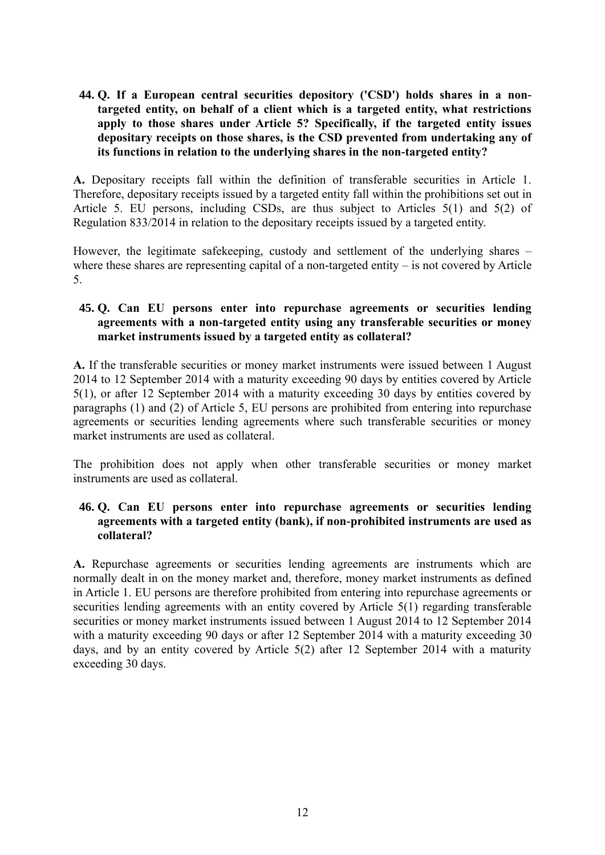**44. Q. If a European central securities depository ('CSD') holds shares in a nontargeted entity, on behalf of a client which is a targeted entity, what restrictions apply to those shares under Article 5? Specifically, if the targeted entity issues depositary receipts on those shares, is the CSD prevented from undertaking any of its functions in relation to the underlying shares in the non-targeted entity?** 

**A.** Depositary receipts fall within the definition of transferable securities in Article 1. Therefore, depositary receipts issued by a targeted entity fall within the prohibitions set out in Article 5. EU persons, including CSDs, are thus subject to Articles 5(1) and 5(2) of Regulation 833/2014 in relation to the depositary receipts issued by a targeted entity.

However, the legitimate safekeeping, custody and settlement of the underlying shares – where these shares are representing capital of a non-targeted entity – is not covered by Article 5.

### **45. Q. Can EU persons enter into repurchase agreements or securities lending agreements with a non-targeted entity using any transferable securities or money market instruments issued by a targeted entity as collateral?**

**A.** If the transferable securities or money market instruments were issued between 1 August 2014 to 12 September 2014 with a maturity exceeding 90 days by entities covered by Article 5(1), or after 12 September 2014 with a maturity exceeding 30 days by entities covered by paragraphs (1) and (2) of Article 5, EU persons are prohibited from entering into repurchase agreements or securities lending agreements where such transferable securities or money market instruments are used as collateral.

The prohibition does not apply when other transferable securities or money market instruments are used as collateral.

# **46. Q. Can EU persons enter into repurchase agreements or securities lending agreements with a targeted entity (bank), if non-prohibited instruments are used as collateral?**

**A.** Repurchase agreements or securities lending agreements are instruments which are normally dealt in on the money market and, therefore, money market instruments as defined in Article 1. EU persons are therefore prohibited from entering into repurchase agreements or securities lending agreements with an entity covered by Article 5(1) regarding transferable securities or money market instruments issued between 1 August 2014 to 12 September 2014 with a maturity exceeding 90 days or after 12 September 2014 with a maturity exceeding 30 days, and by an entity covered by Article 5(2) after 12 September 2014 with a maturity exceeding 30 days.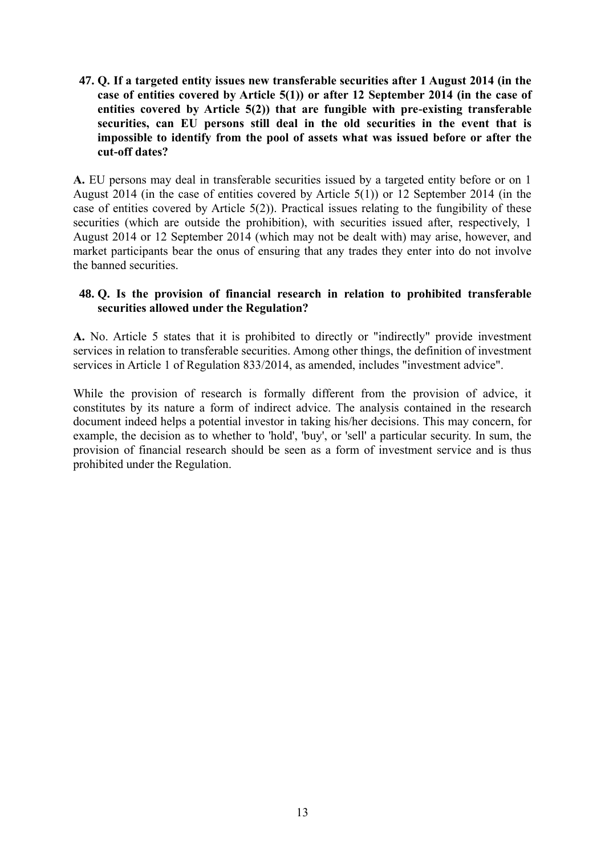### **47. Q. If a targeted entity issues new transferable securities after 1 August 2014 (in the case of entities covered by Article 5(1)) or after 12 September 2014 (in the case of entities covered by Article 5(2)) that are fungible with pre-existing transferable securities, can EU persons still deal in the old securities in the event that is impossible to identify from the pool of assets what was issued before or after the cut-off dates?**

**A.** EU persons may deal in transferable securities issued by a targeted entity before or on 1 August 2014 (in the case of entities covered by Article 5(1)) or 12 September 2014 (in the case of entities covered by Article 5(2)). Practical issues relating to the fungibility of these securities (which are outside the prohibition), with securities issued after, respectively, 1 August 2014 or 12 September 2014 (which may not be dealt with) may arise, however, and market participants bear the onus of ensuring that any trades they enter into do not involve the banned securities.

### **48. Q. Is the provision of financial research in relation to prohibited transferable securities allowed under the Regulation?**

**A.** No. Article 5 states that it is prohibited to directly or "indirectly" provide investment services in relation to transferable securities. Among other things, the definition of investment services in Article 1 of Regulation 833/2014, as amended, includes "investment advice".

While the provision of research is formally different from the provision of advice, it constitutes by its nature a form of indirect advice. The analysis contained in the research document indeed helps a potential investor in taking his/her decisions. This may concern, for example, the decision as to whether to 'hold', 'buy', or 'sell' a particular security. In sum, the provision of financial research should be seen as a form of investment service and is thus prohibited under the Regulation.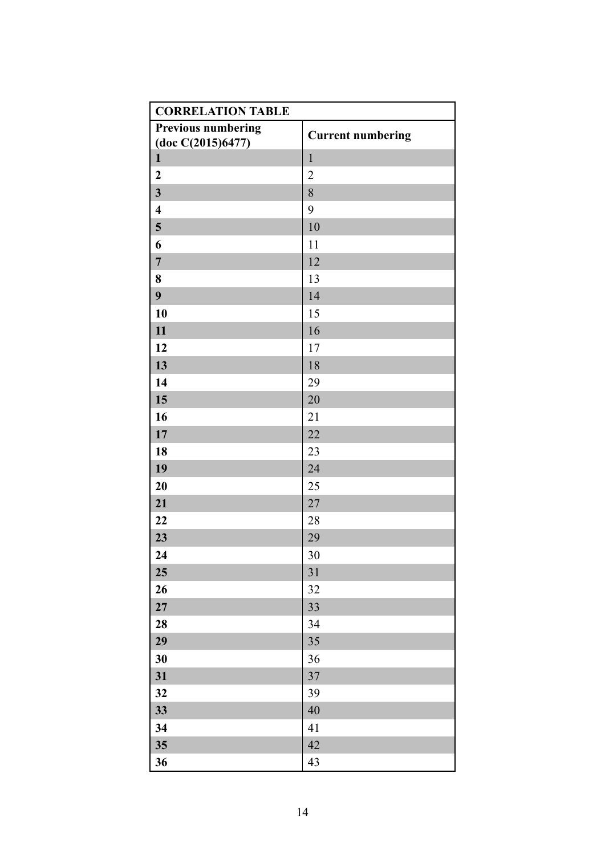| <b>CORRELATION TABLE</b>  |                          |
|---------------------------|--------------------------|
| <b>Previous numbering</b> | <b>Current numbering</b> |
| (doc C(2015)6477)         |                          |
| $\mathbf{1}$              | $\mathbf{1}$             |
| $\boldsymbol{2}$          | $\overline{c}$           |
| $\overline{\mathbf{3}}$   | 8                        |
| $\overline{\mathbf{4}}$   | 9                        |
| 5                         | 10                       |
| 6                         | 11                       |
| $\overline{7}$            | 12                       |
| 8                         | 13                       |
| 9                         | 14                       |
| 10                        | 15                       |
| 11                        | 16                       |
| 12                        | 17                       |
| 13                        | 18                       |
| 14                        | 29                       |
| 15                        | 20                       |
| 16                        | 21                       |
| 17                        | 22                       |
| 18                        | 23                       |
| 19                        | 24                       |
| 20                        | 25                       |
| 21                        | 27                       |
| 22                        | 28                       |
| 23                        | 29                       |
| 24                        | 30                       |
| 25                        | 31                       |
| 26                        | 32                       |
| ${\bf 27}$                | 33                       |
| 28                        | 34                       |
| 29                        | 35                       |
| 30                        | 36                       |
| 31                        | $37\,$                   |
| 32                        | 39                       |
| 33                        | 40                       |
| 34                        | 41                       |
| 35                        | 42                       |
| 36                        | 43                       |